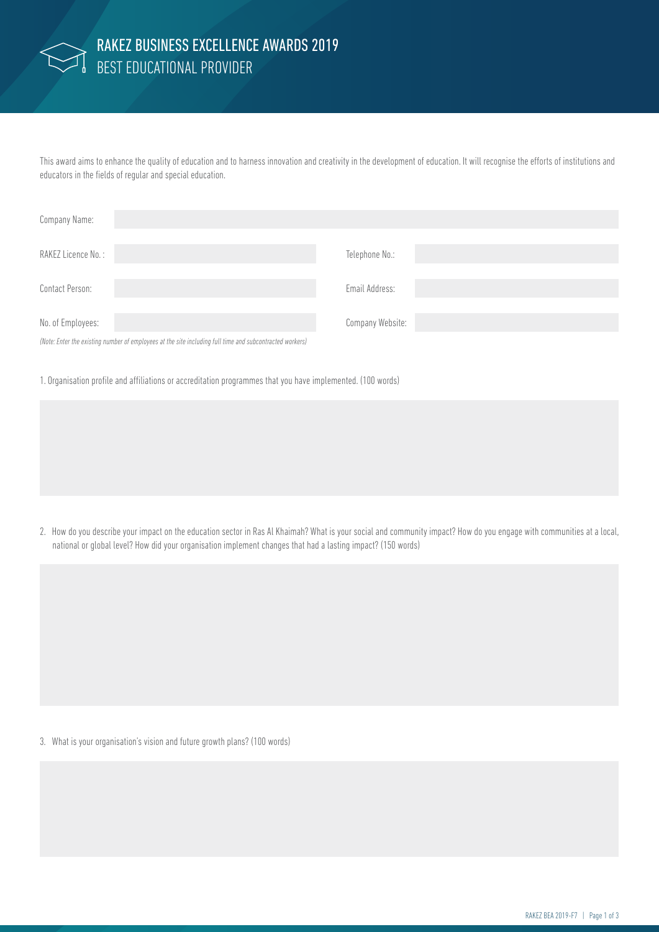

## BEST EDUCATIONAL PROVIDER RAKEZ BUSINESS EXCELLENCE AWARDS 2019

This award aims to enhance the quality of education and to harness innovation and creativity in the development of education. It will recognise the efforts of institutions and educators in the fields of regular and special education.

| Company Name:                                                                                            |                  |
|----------------------------------------------------------------------------------------------------------|------------------|
| RAKEZ Licence No.:                                                                                       | Telephone No.:   |
| Contact Person:                                                                                          | Email Address:   |
| No. of Employees:                                                                                        | Company Website: |
| (Note: Enter the existing number of employees at the site including full time and subcontracted workers) |                  |

1. Organisation profile and affiliations or accreditation programmes that you have implemented. (100 words)

2. How do you describe your impact on the education sector in Ras Al Khaimah? What is your social and community impact? How do you engage with communities at a local, national or global level? How did your organisation implement changes that had a lasting impact? (150 words)

3. What is your organisation's vision and future growth plans? (100 words)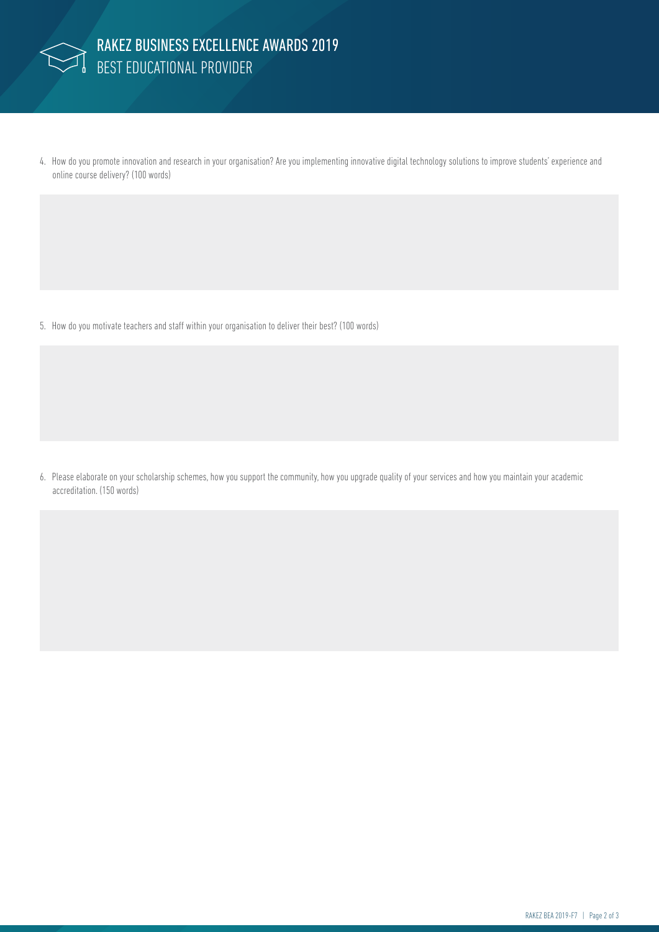

4. How do you promote innovation and research in your organisation? Are you implementing innovative digital technology solutions to improve students' experience and online course delivery? (100 words)

5. How do you motivate teachers and staff within your organisation to deliver their best? (100 words)

6. Please elaborate on your scholarship schemes, how you support the community, how you upgrade quality of your services and how you maintain your academic accreditation. (150 words)